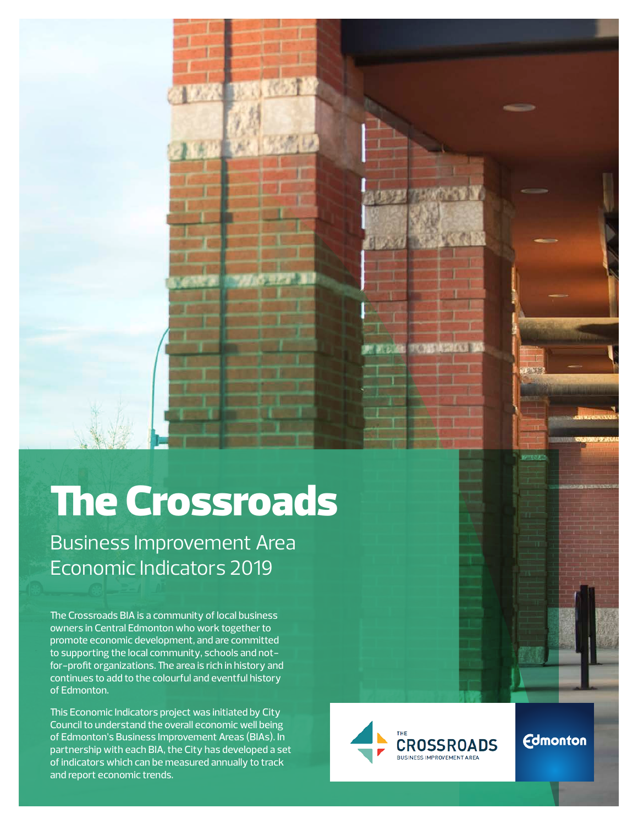# The Crossroads

Business Improvement Area Economic Indicators 2019

The Crossroads BIA is a community of local business owners in Central Edmonton who work together to promote economic development, and are committed to supporting the local community, schools and notfor-profit organizations. The area is rich in history and continues to add to the colourful and eventful history of Edmonton.

This Economic Indicators project was initiated by City Council to understand the overall economic well being of Edmonton's Business Improvement Areas (BIAs). In partnership with each BIA, the City has developed a set of indicators which can be measured annually to track and report economic trends.



**Edmonton**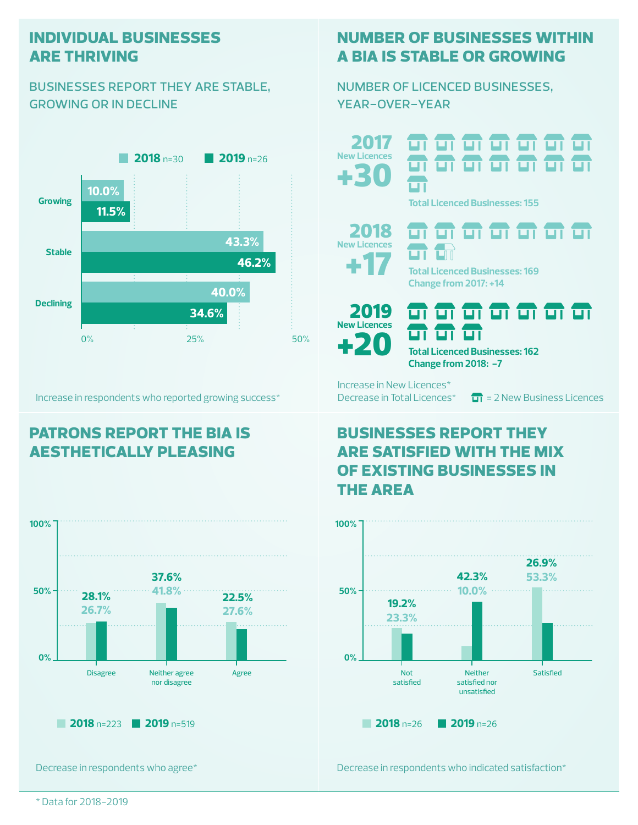#### **individual businesses are thriving**

#### businesses report they are stable, growing or in decline



Increase in respondents who reported growing success\*

### **patrons report the bia is aesthetically pleasing**



Decrease in respondents who agree\*

#### **number of businesses within a bia is stable or growing**

number of licenced businesses, year-over-year

+30 2017 **New Licences** <del>ள எ எ எ எ எ எ</del> <del>ள எ எ எ எ எ</del> எ ப **Total Licenced Businesses: 155**





**Change from 2017: +14**



न न न न न न न ज ज ज **Total Licenced Businesses: 162**

Increase in New Licences\*

Decrease in Total Licences<sup>\*</sup>  $\overline{11}$  = 2 New Business Licences

#### **businesses report they are satisfied with the mix of existing businesses in the area**

**Change from 2018: -7**



Decrease in respondents who indicated satisfaction\*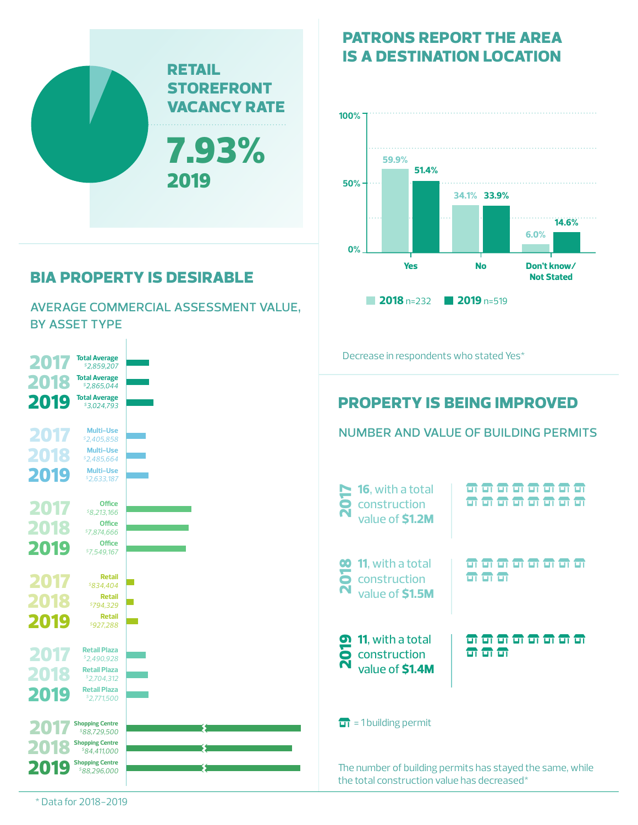

## **bia property is desirable**

average commercial assessment value, by asset type



## **patrons report the area is a destination location**



number and value of building permits